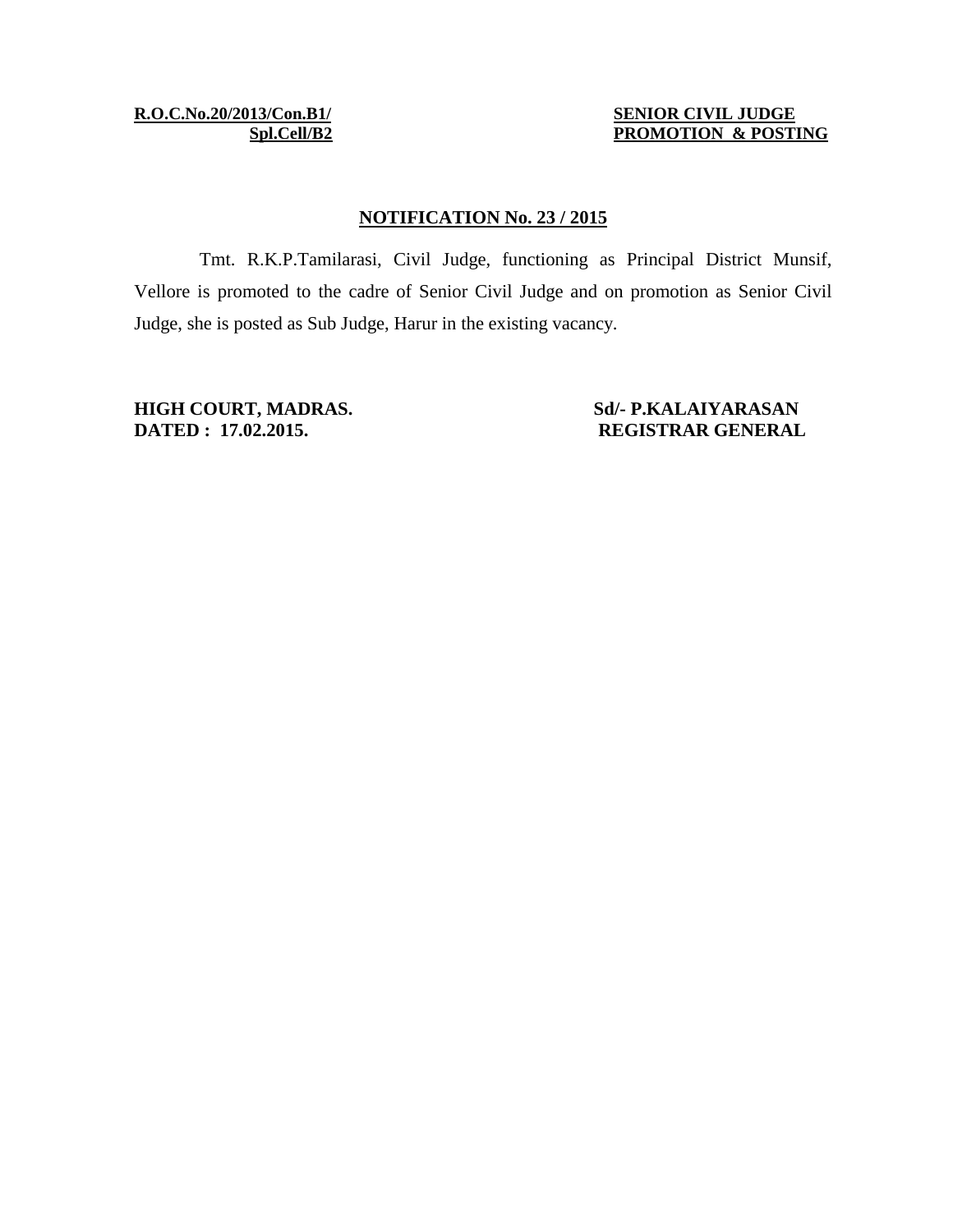**R.O.C.No.20/2013/Con.B1/ SENIOR CIVIL JUDGE**

**Spl.Cell/B2 PROMOTION & POSTING**

## **NOTIFICATION No. 23 / 2015**

Tmt. R.K.P.Tamilarasi, Civil Judge, functioning as Principal District Munsif, Vellore is promoted to the cadre of Senior Civil Judge and on promotion as Senior Civil Judge, she is posted as Sub Judge, Harur in the existing vacancy.

**HIGH COURT, MADRAS.**<br> **Sd/- P.KALAIYARASAN**<br> **Sd/- P.KALAIYARASAN**<br> **REGISTRAR GENERAL DATED : 17.02.2015. REGISTRAR GENERAL**